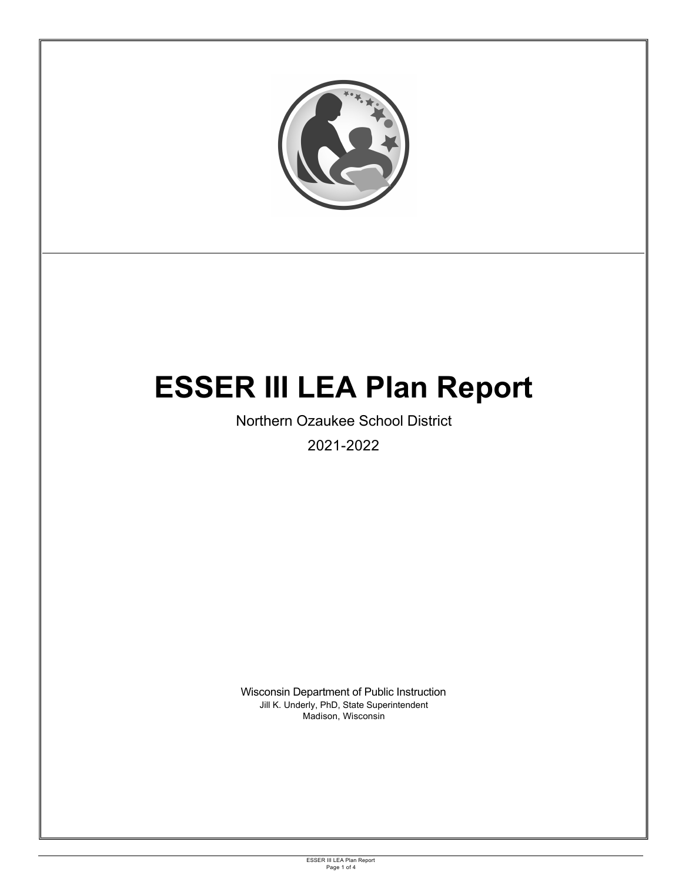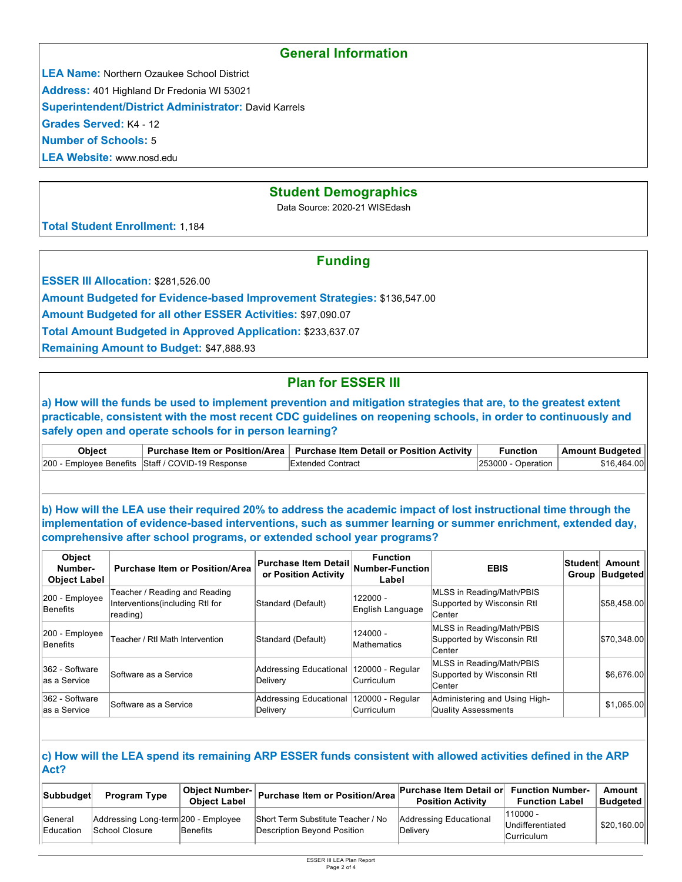### **General Information**

**LEA Name:** Northern Ozaukee School District

**Address:** 401 Highland Dr Fredonia WI 53021

**Superintendent/District Administrator:** David Karrels

**Grades Served:** K4 - 12

**Number of Schools:** 5

**LEA Website:** www.nosd.edu

### **Student Demographics**

Data Source: 2020-21 WISEdash

**Total Student Enrollment:** 1,184

## **Funding**

**ESSER III Allocation: \$281,526.00** 

**Amount Budgeted for Evidence-based Improvement Strategies:** \$136,547.00

**Amount Budgeted for all other ESSER Activities:** \$97,090.07

**Total Amount Budgeted in Approved Application:** \$233,637.07

**Remaining Amount to Budget:** \$47,888.93

# **Plan for ESSER III**

**a) How will the funds be used to implement prevention and mitigation strategies that are, to the greatest extent practicable, consistent with the most recent CDC guidelines on reopening schools, in order to continuously and safely open and operate schools for in person learning?**

| <b>Obiect</b> |                                                   | Purchase Item or Position/Area   Purchase Item Detail or Position Activity | Function              | Amount Budgeted |
|---------------|---------------------------------------------------|----------------------------------------------------------------------------|-----------------------|-----------------|
|               | 200 - Employee Benefits Staff / COVID-19 Response | <b>Extended Contract</b>                                                   | $ 253000 -$ Operation | \$16.464.00     |

**b) How will the LEA use their required 20% to address the academic impact of lost instructional time through the implementation of evidence-based interventions, such as summer learning or summer enrichment, extended day, comprehensive after school programs, or extended school year programs?**

| <b>Object</b><br>Number-<br><b>Object Label</b> | <b>Purchase Item or Position/Area</b>                                         | <b>Purchase Item Detail</b><br>or Position Activity | <b>Function</b><br>Number-Function<br>Label | <b>EBIS</b>                                                        | ∣Student∣ | Amount<br>Group   Budgeted |
|-------------------------------------------------|-------------------------------------------------------------------------------|-----------------------------------------------------|---------------------------------------------|--------------------------------------------------------------------|-----------|----------------------------|
| 200 - Employee<br>Benefits                      | Teacher / Reading and Reading<br>Interventions (including RtI for<br>reading) | Standard (Default)                                  | 122000 -<br>English Language                | MLSS in Reading/Math/PBIS<br>Supported by Wisconsin RtI<br>lCenter |           | \$58,458.00                |
| $ 200 -$ Employee<br>Benefits                   | Teacher / Rtl Math Intervention                                               | Standard (Default)                                  | $124000 -$<br>Mathematics                   | MLSS in Reading/Math/PBIS<br>Supported by Wisconsin RtI<br>lCenter |           | \$70,348.00                |
| 362 - Software<br>las a Service                 | Software as a Service                                                         | Addressing Educational<br>Delivery                  | 120000 - Regular<br>Curriculum              | MLSS in Reading/Math/PBIS<br>Supported by Wisconsin RtI<br>Center  |           | \$6.676.00                 |
| 362 - Software<br>las a Service                 | Software as a Service                                                         | Addressing Educational<br>Delivery                  | 120000 - Regular<br>Curriculum              | Administering and Using High-<br><b>Quality Assessments</b>        |           | \$1,065.00                 |

#### **c) How will the LEA spend its remaining ARP ESSER funds consistent with allowed activities defined in the ARP Act?**

| <b>Subbudget</b> | <b>Program Type</b>                 | <b>Object Number-</b><br><b>Obiect Label</b> | Purchase Item or Position/Area     | <b>Purchase Item Detail or</b><br><b>Position Activity</b> | <b>Function Number-</b><br><b>Function Label</b> | Amount<br><b>Budgeted</b> |
|------------------|-------------------------------------|----------------------------------------------|------------------------------------|------------------------------------------------------------|--------------------------------------------------|---------------------------|
| <b>General</b>   | Addressing Long-term 200 - Employee |                                              | Short Term Substitute Teacher / No | Addressing Educational                                     | $110000 -$                                       |                           |
| Education        | School Closure                      | Benefits                                     | Description Bevond Position        | <sup>1</sup> Delivery                                      | Undifferentiated                                 | \$20,160.00               |
|                  |                                     |                                              |                                    | Curriculum                                                 |                                                  |                           |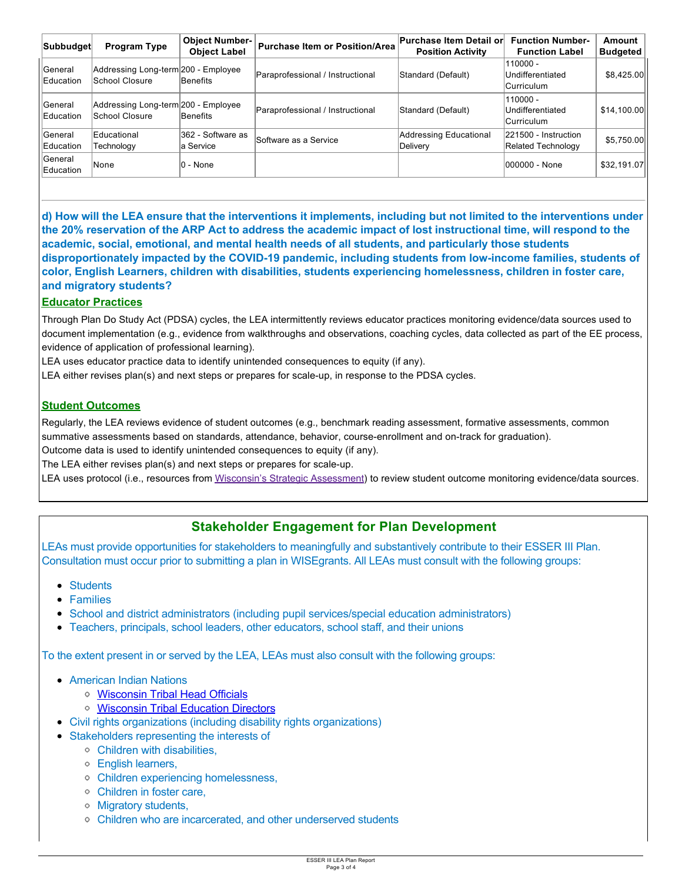| Subbudget            | <b>Program Type</b>                                   | <b>Object Number-</b><br><b>Object Label</b> | <b>Purchase Item or Position/Area</b> | <b>Purchase Item Detail or</b><br><b>Position Activity</b> | <b>Function Number-</b><br><b>Function Label</b> | Amount<br><b>Budgeted</b> |
|----------------------|-------------------------------------------------------|----------------------------------------------|---------------------------------------|------------------------------------------------------------|--------------------------------------------------|---------------------------|
| General<br>Education | Addressing Long-term 200 - Employee<br>School Closure | Benefits                                     | Paraprofessional / Instructional      | Standard (Default)                                         | 110000 -<br>Undifferentiated<br>Curriculum       | \$8,425.00                |
| General<br>Education | Addressing Long-term 200 - Employee<br>School Closure | Benefits                                     | Paraprofessional / Instructional      | Standard (Default)                                         | 110000 -<br>Undifferentiated<br>Curriculum       | \$14,100.00               |
| General<br>Education | Educational<br>Technoloav                             | 362 - Software as<br>la Service              | Software as a Service                 | <b>Addressing Educational</b><br>Delivery                  | 221500 - Instruction<br>Related Technology       | \$5,750.00                |
| General<br>Education | None                                                  | 0 - None                                     |                                       |                                                            | 000000 - None                                    | \$32,191.07               |

**d) How will the LEA ensure that the interventions it implements, including but not limited to the interventions under the 20% reservation of the ARP Act to address the academic impact of lost instructional time, will respond to the academic, social, emotional, and mental health needs of all students, and particularly those students disproportionately impacted by the COVID-19 pandemic, including students from low-income families, students of color, English Learners, children with disabilities, students experiencing homelessness, children in foster care, and migratory students?**

### **Educator Practices**

Through Plan Do Study Act (PDSA) cycles, the LEA intermittently reviews educator practices monitoring evidence/data sources used to document implementation (e.g., evidence from walkthroughs and observations, coaching cycles, data collected as part of the EE process, evidence of application of professional learning).

LEA uses educator practice data to identify unintended consequences to equity (if any).

LEA either revises plan(s) and next steps or prepares for scale-up, in response to the PDSA cycles.

### **Student Outcomes**

Regularly, the LEA reviews evidence of student outcomes (e.g., benchmark reading assessment, formative assessments, common summative assessments based on standards, attendance, behavior, course-enrollment and on-track for graduation). Outcome data is used to identify unintended consequences to equity (if any).

The LEA either revises plan(s) and next steps or prepares for scale-up.

LEA uses protocol (i.e., resources from Wisconsin's Strategic Assessment) to review student outcome monitoring evidence/data sources.

# **Stakeholder Engagement for Plan Development**

LEAs must provide opportunities for stakeholders to meaningfully and substantively contribute to their ESSER III Plan. Consultation must occur prior to submitting a plan in WISEgrants. All LEAs must consult with the following groups:

- Students
- Families
- School and district administrators (including pupil services/special education administrators)
- Teachers, principals, school leaders, other educators, school staff, and their unions

To the extent present in or served by the LEA, LEAs must also consult with the following groups:

- American Indian Nations
	- [Wisconsin Tribal Head Officials](http://witribes.wi.gov/docview.asp?docid=19085&locid=57)
	- o [Wisconsin Tribal Education Directors](https://wiea.net/about-wiea/wisconsin-tribal-education-directors/)
- Civil rights organizations (including disability rights organizations)
- Stakeholders representing the interests of
	- Children with disabilities,
	- English learners,
	- Children experiencing homelessness,
	- Children in foster care,
	- Migratory students,
	- Children who are incarcerated, and other underserved students